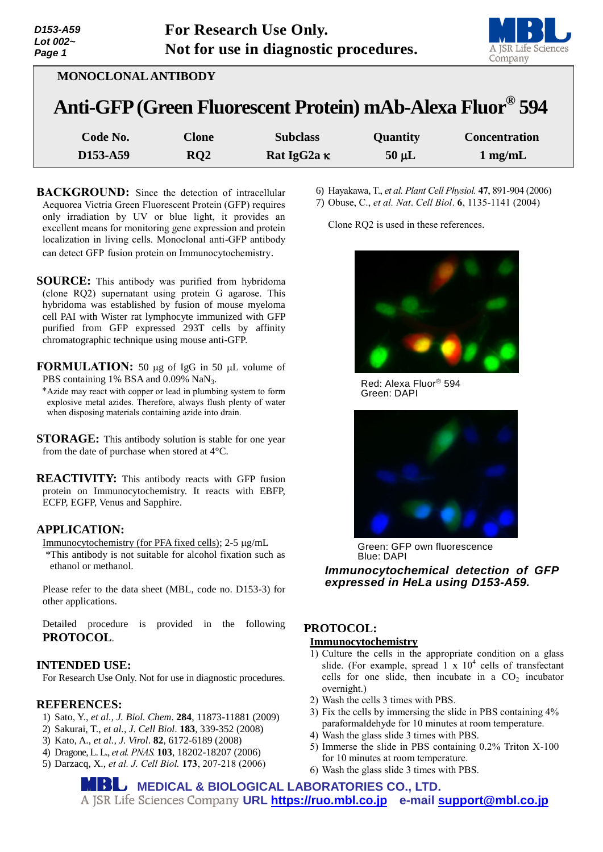| D153-A59<br>Lot $002-$<br>Page 1 | For Research Use Only.<br>Not for use in diagnostic procedures. |                                                                       |            | A JSR Life Sciences<br>Company |
|----------------------------------|-----------------------------------------------------------------|-----------------------------------------------------------------------|------------|--------------------------------|
| <b>MONOCLONAL ANTIBODY</b>       |                                                                 |                                                                       |            |                                |
|                                  |                                                                 | Anti-GFP (Green Fluorescent Protein) mAb-Alexa Fluor <sup>®</sup> 594 |            |                                |
| Code No.                         | <b>Clone</b>                                                    | <b>Subclass</b>                                                       | Quantity   | <b>Concentration</b>           |
| D153-A59                         | RQ2                                                             | Rat IgG <sub>2a</sub> <sub>K</sub>                                    | $50 \mu L$ | $1 \text{ mg/mL}$              |

- **BACKGROUND:** Since the detection of intracellular Aequorea Victria Green Fluorescent Protein (GFP) requires only irradiation by UV or blue light, it provides an excellent means for monitoring gene expression and protein localization in living cells. Monoclonal anti-GFP antibody can detect GFP fusion protein on Immunocytochemistry.
- **SOURCE:** This antibody was purified from hybridoma (clone RQ2) supernatant using protein G agarose. This hybridoma was established by fusion of mouse myeloma cell PAI with Wister rat lymphocyte immunized with GFP purified from GFP expressed 293T cells by affinity chromatographic technique using mouse anti-GFP.
- **FORMULATION:** 50 µg of IgG in 50 µL volume of PBS containing 1% BSA and 0.09% NaN<sub>3</sub>.
- \*Azide may react with copper or lead in plumbing system to form explosive metal azides. Therefore, always flush plenty of water when disposing materials containing azide into drain.
- **STORAGE:** This antibody solution is stable for one year from the date of purchase when stored at 4°C.
- **REACTIVITY:** This antibody reacts with GFP fusion protein on Immunocytochemistry. It reacts with EBFP, ECFP, EGFP, Venus and Sapphire.

## **APPLICATION:**

Immunocytochemistry (for PFA fixed cells); 2-5 µg/mL \*This antibody is not suitable for alcohol fixation such as ethanol or methanol.

Please refer to the data sheet (MBL, code no. D153-3) for other applications.

Detailed procedure is provided in the following **PROTOCOL**.

### **INTENDED USE:**

For Research Use Only. Not for use in diagnostic procedures.

## **REFERENCES:**

- 1) Sato, Y., *et al., J. Biol. Chem*. **284**, 11873-11881 (2009)
- 2) Sakurai, T., *et al., J. Cell Biol*. **183**, 339-352 (2008)
- 3) Kato, A., *et al., J. Virol*. **82**, 6172-6189 (2008)
- 4) Dragone, L. L., *et al. PNAS.* **103**, 18202-18207 (2006)
- 5) Darzacq, X., *et al. J. Cell Biol.* **173**, 207-218 (2006)

6) Hayakawa, T., *et al. Plant Cell Physiol.* **47**, 891-904 (2006) 7) Obuse, C., *et al. Nat*. *Cell Biol*. **6**, 1135-1141 (2004)

Clone RQ2 is used in these references.



Green: DAPI Red: Alexa Fluor® 594



Green: GFP own fluorescence Blue: DAPI *Immunocytochemical detection of GFP* 

**Immunocytochemical detection of GFP** *expressed in HeLa using D153-A59.*

# **PROTOCOL:**

## **Immunocytochemistry**

- 1) Culture the cells in the appropriate condition on a glass slide. (For example, spread  $1 \times 10^4$  cells of transfectant cells for one slide, then incubate in a  $CO<sub>2</sub>$  incubator overnight.)
- 2) Wash the cells 3 times with PBS.
- 3) Fix the cells by immersing the slide in PBS containing 4% paraformaldehyde for 10 minutes at room temperature.
- 4) Wash the glass slide 3 times with PBS.
- 5) Immerse the slide in PBS containing 0.2% Triton X-100 for 10 minutes at room temperature.
- 6) Wash the glass slide 3 times with PBS.

**MEDICAL & BIOLOGICAL LABORATORIES CO., LTD. URL [https://ruo.mbl.co.jp](https://ruo.mbl.co.jp/) e-mail [support@mbl.co.jp](mailto:support@mbl.co.jp)**